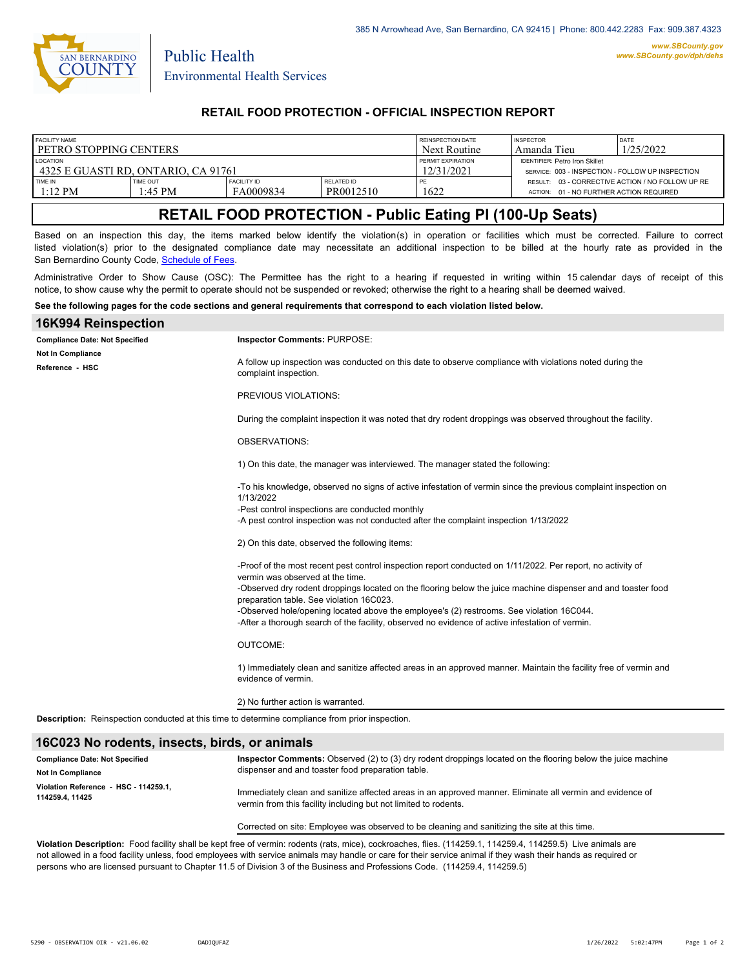

Public Health

## **RETAIL FOOD PROTECTION - OFFICIAL INSPECTION REPORT**

| FACILITY NAME                       |                            |                                 | REINSPECTION DATE              | <b>INSPECTOR</b>                                 | DATE                                                                                        |  |
|-------------------------------------|----------------------------|---------------------------------|--------------------------------|--------------------------------------------------|---------------------------------------------------------------------------------------------|--|
| l petro stopping centers            |                            |                                 | Next Routine                   | Amanda Tieu                                      | 1/25/2022                                                                                   |  |
| <b>LOCATION</b>                     |                            |                                 | <b>FERMIT EXPIRATION</b>       | <b>IDENTIFIER: Petro Iron Skillet</b>            |                                                                                             |  |
| 4325 E GUASTI RD. ONTARIO. CA 91761 |                            |                                 | 12/31/2021                     | SERVICE: 003 - INSPECTION - FOLLOW UP INSPECTION |                                                                                             |  |
| TIME IN<br>$1:12$ PM                | <b>TIME OUT</b><br>1:45 PM | <b>FACILITY ID</b><br>FA0009834 | <b>RELATED ID</b><br>PR0012510 | 1622                                             | RESULT: 03 - CORRECTIVE ACTION / NO FOLLOW UP RE<br>ACTION: 01 - NO FURTHER ACTION REQUIRED |  |

# **RETAIL FOOD PROTECTION - Public Eating Pl (100-Up Seats)**

Based on an inspection this day, the items marked below identify the violation(s) in operation or facilities which must be corrected. Failure to correct listed violation(s) prior to the designated compliance date may necessitate an additional inspection to be billed at the hourly rate as provided in the San Bernardino County Code, Schedule of Fees

Administrative Order to Show Cause (OSC): The Permittee has the right to a hearing if requested in writing within 15 calendar days of receipt of this notice, to show cause why the permit to operate should not be suspended or revoked; otherwise the right to a hearing shall be deemed waived.

#### **See the following pages for the code sections and general requirements that correspond to each violation listed below.**

| 16K994 Reinspection                                                                                    |                                                                                                                                                                                             |  |  |  |
|--------------------------------------------------------------------------------------------------------|---------------------------------------------------------------------------------------------------------------------------------------------------------------------------------------------|--|--|--|
| <b>Compliance Date: Not Specified</b>                                                                  | Inspector Comments: PURPOSE:                                                                                                                                                                |  |  |  |
| Not In Compliance<br>Reference - HSC                                                                   | A follow up inspection was conducted on this date to observe compliance with violations noted during the<br>complaint inspection.                                                           |  |  |  |
|                                                                                                        | PREVIOUS VIOLATIONS:                                                                                                                                                                        |  |  |  |
|                                                                                                        | During the complaint inspection it was noted that dry rodent droppings was observed throughout the facility.                                                                                |  |  |  |
|                                                                                                        | <b>OBSERVATIONS:</b>                                                                                                                                                                        |  |  |  |
|                                                                                                        | 1) On this date, the manager was interviewed. The manager stated the following:                                                                                                             |  |  |  |
|                                                                                                        | -To his knowledge, observed no signs of active infestation of vermin since the previous complaint inspection on<br>1/13/2022                                                                |  |  |  |
|                                                                                                        | -Pest control inspections are conducted monthly<br>-A pest control inspection was not conducted after the complaint inspection 1/13/2022                                                    |  |  |  |
|                                                                                                        | 2) On this date, observed the following items:                                                                                                                                              |  |  |  |
|                                                                                                        | -Proof of the most recent pest control inspection report conducted on 1/11/2022. Per report, no activity of<br>vermin was observed at the time.                                             |  |  |  |
|                                                                                                        | -Observed dry rodent droppings located on the flooring below the juice machine dispenser and and toaster food<br>preparation table. See violation 16C023.                                   |  |  |  |
|                                                                                                        | -Observed hole/opening located above the employee's (2) restrooms. See violation 16C044.<br>-After a thorough search of the facility, observed no evidence of active infestation of vermin. |  |  |  |
|                                                                                                        | <b>OUTCOME:</b>                                                                                                                                                                             |  |  |  |
|                                                                                                        | 1) Immediately clean and sanitize affected areas in an approved manner. Maintain the facility free of vermin and<br>evidence of vermin.                                                     |  |  |  |
|                                                                                                        | 2) No further action is warranted.                                                                                                                                                          |  |  |  |
| <b>Description:</b> Reinspection conducted at this time to determine compliance from prior inspection. |                                                                                                                                                                                             |  |  |  |
| 16C023 No rodents, insects, birds, or animals                                                          |                                                                                                                                                                                             |  |  |  |

**Inspector Comments:** Observed (2) to (3) dry rodent droppings located on the flooring below the juice machine dispenser and and toaster food preparation table. Immediately clean and sanitize affected areas in an approved manner. Eliminate all vermin and evidence of vermin from this facility including but not limited to rodents. Corrected on site: Employee was observed to be cleaning and sanitizing the site at this time. **Compliance Date: Not Specified Violation Reference - HSC - 114259.1, 114259.4, 11425 Not In Compliance**

**Violation Description:** Food facility shall be kept free of vermin: rodents (rats, mice), cockroaches, flies. (114259.1, 114259.4, 114259.5) Live animals are not allowed in a food facility unless, food employees with service animals may handle or care for their service animal if they wash their hands as required or persons who are licensed pursuant to Chapter 11.5 of Division 3 of the Business and Professions Code. (114259.4, 114259.5)